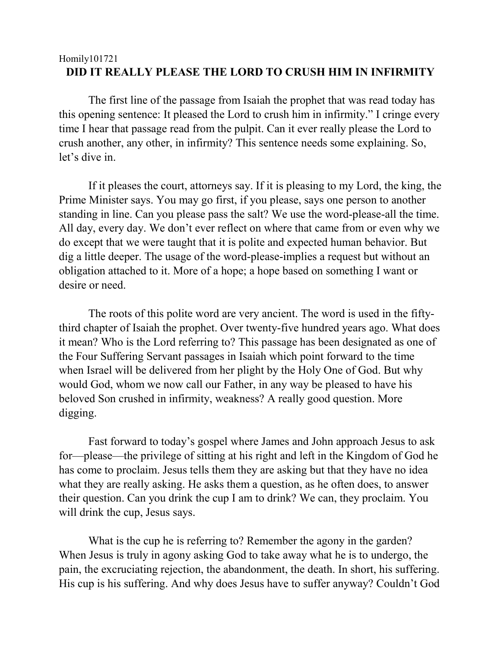## Homily101721 **DID IT REALLY PLEASE THE LORD TO CRUSH HIM IN INFIRMITY**

The first line of the passage from Isaiah the prophet that was read today has this opening sentence: It pleased the Lord to crush him in infirmity." I cringe every time I hear that passage read from the pulpit. Can it ever really please the Lord to crush another, any other, in infirmity? This sentence needs some explaining. So, let's dive in.

If it pleases the court, attorneys say. If it is pleasing to my Lord, the king, the Prime Minister says. You may go first, if you please, says one person to another standing in line. Can you please pass the salt? We use the word-please-all the time. All day, every day. We don't ever reflect on where that came from or even why we do except that we were taught that it is polite and expected human behavior. But dig a little deeper. The usage of the word-please-implies a request but without an obligation attached to it. More of a hope; a hope based on something I want or desire or need.

The roots of this polite word are very ancient. The word is used in the fiftythird chapter of Isaiah the prophet. Over twenty-five hundred years ago. What does it mean? Who is the Lord referring to? This passage has been designated as one of the Four Suffering Servant passages in Isaiah which point forward to the time when Israel will be delivered from her plight by the Holy One of God. But why would God, whom we now call our Father, in any way be pleased to have his beloved Son crushed in infirmity, weakness? A really good question. More digging.

Fast forward to today's gospel where James and John approach Jesus to ask for—please—the privilege of sitting at his right and left in the Kingdom of God he has come to proclaim. Jesus tells them they are asking but that they have no idea what they are really asking. He asks them a question, as he often does, to answer their question. Can you drink the cup I am to drink? We can, they proclaim. You will drink the cup, Jesus says.

What is the cup he is referring to? Remember the agony in the garden? When Jesus is truly in agony asking God to take away what he is to undergo, the pain, the excruciating rejection, the abandonment, the death. In short, his suffering. His cup is his suffering. And why does Jesus have to suffer anyway? Couldn't God